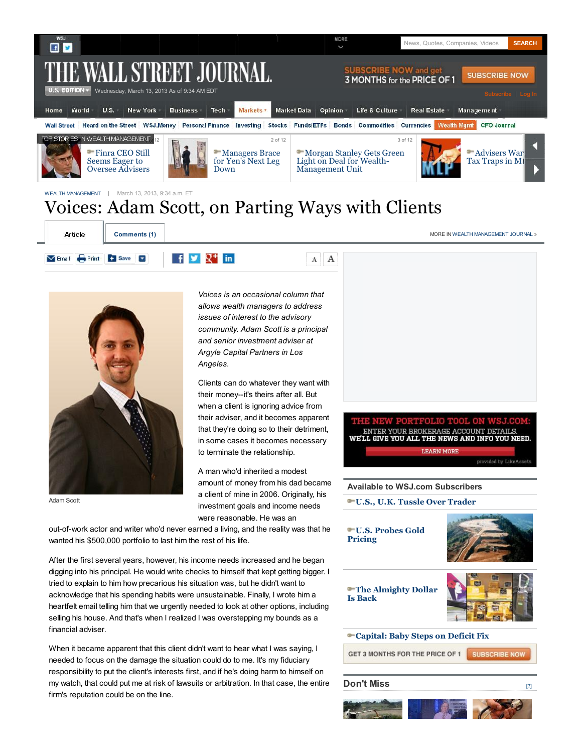

 $A$   $A$ 



Email Print + Save

Adam Scott

financial adviser.

*Voices is an occasional column that allows wealth managers to address issues of interest to the advisory community. Adam Scott is a principal and senior investment adviser at Argyle Capital Partners in Los Angeles.*

Clients can do whatever they want with their money--it's theirs after all. But when a client is ignoring advice from their adviser, and it becomes apparent that they're doing so to their detriment, to terminate the relationship.

A man who'd inherited a modest amount of money from his dad became a client of mine in 2006. Originally, his investment goals and income needs were reasonable. He was an

**TFOLIO** NTER YOUR BROKERAGE ACCOUNT DETAILS. in some cases it becomes necessary WELL GIVE YOU ALL THE NEWS AND INFO YOU NEED. **LEARN MORE** 

**Available to WSJ.com Subscribers**

**U.S., U.K. Tussle Over Trader**



When it became apparent that this client didn't want to hear what I was saying, I needed to focus on the damage the situation could do to me. It's my fiduciary responsibility to put the client's interests first, and if he's doing harm to himself on my watch, that could put me at risk of lawsuits or arbitration. In that case, the entire firm's reputation could be on the line.

out-of-work actor and writer who'd never earned a living, and the reality was that he

 $\uparrow$   $\uparrow$   $\uparrow$   $\uparrow$  in

After the first several years, however, his income needs increased and he began digging into his principal. He would write checks to himself that kept getting bigger. I tried to explain to him how precarious his situation was, but he didn't want to acknowledge that his spending habits were unsustainable. Finally, I wrote him a heartfelt email telling him that we urgently needed to look at other options, including selling his house. And that's when I realized I was overstepping my bounds as a

wanted his \$500,000 portfolio to last him the rest of his life.

**Don't Miss**



[?]